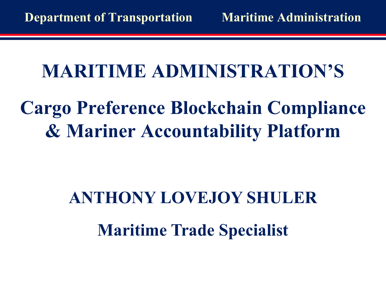## **MARITIME ADMINISTRATION'S**

# **Cargo Preference Blockchain Compliance & Mariner Accountability Platform**

# **ANTHONY LOVEJOY SHULER Maritime Trade Specialist**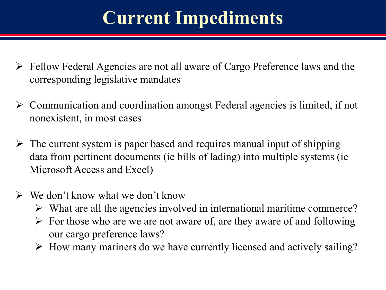## **Current Impediments**

- $\triangleright$  Fellow Federal Agencies are not all aware of Cargo Preference laws and the corresponding legislative mandates
- $\triangleright$  Communication and coordination amongst Federal agencies is limited, if not nonexistent, in most cases
- $\triangleright$  The current system is paper based and requires manual input of shipping data from pertinent documents (ie bills of lading) into multiple systems (ie Microsoft Access and Excel)
- $\triangleright$  We don't know what we don't know
	- $\triangleright$  What are all the agencies involved in international maritime commerce?
	- $\triangleright$  For those who are we are not aware of, are they aware of and following our cargo preference laws?
	- $\triangleright$  How many mariners do we have currently licensed and actively sailing?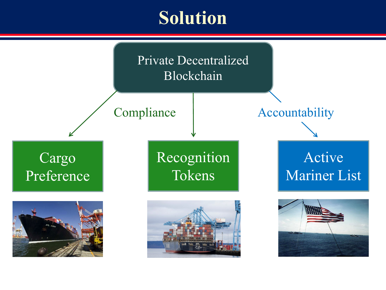#### **Solution**

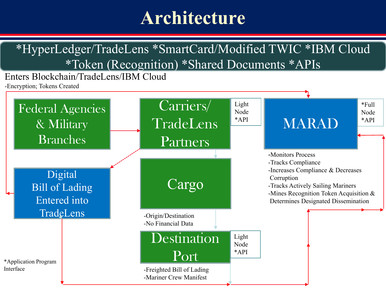#### **Architecture**

#### \*HyperLedger/TradeLens \*SmartCard/Modified TWIC \*IBM Cloud \*Token (Recognition) \*Shared Documents \*APIs

Enters Blockchain/TradeLens/IBM Cloud

-Encryption; Tokens Created

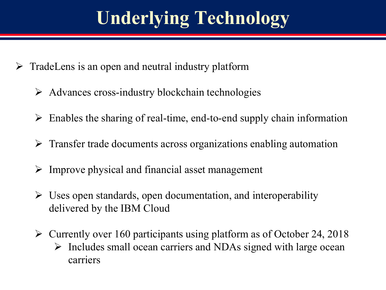# **Underlying Technology**

- $\triangleright$  TradeLens is an open and neutral industry platform
	- $\triangleright$  Advances cross-industry blockchain technologies
	- $\triangleright$  Enables the sharing of real-time, end-to-end supply chain information
	- $\triangleright$  Transfer trade documents across organizations enabling automation
	- $\triangleright$  Improve physical and financial asset management
	- $\triangleright$  Uses open standards, open documentation, and interoperability delivered by the IBM Cloud
	- $\triangleright$  Currently over 160 participants using platform as of October 24, 2018  $\triangleright$  Includes small ocean carriers and NDAs signed with large ocean carriers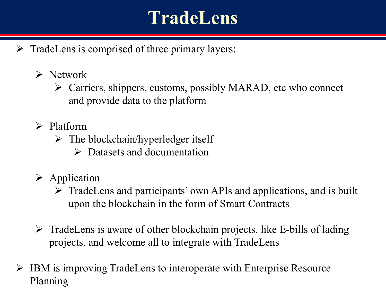#### **TradeLens**

- $\triangleright$  TradeLens is comprised of three primary layers:
	- $\triangleright$  Network
		- Carriers, shippers, customs, possibly MARAD, etc who connect and provide data to the platform
	- $\triangleright$  Platform
		- $\triangleright$  The blockchain/hyperledger itself
			- $\triangleright$  Datasets and documentation
	- $\triangleright$  Application
		- $\triangleright$  TradeLens and participants' own APIs and applications, and is built upon the blockchain in the form of Smart Contracts
	- $\triangleright$  TradeLens is aware of other blockchain projects, like E-bills of lading projects, and welcome all to integrate with TradeLens
- $\triangleright$  IBM is improving TradeLens to interoperate with Enterprise Resource Planning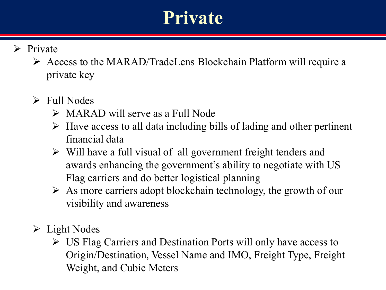#### **Private**

- $\triangleright$  Private
	- Access to the MARAD/TradeLens Blockchain Platform will require a private key
	- $\triangleright$  Full Nodes
		- $\triangleright$  MARAD will serve as a Full Node
		- $\triangleright$  Have access to all data including bills of lading and other pertinent financial data
		- $\triangleright$  Will have a full visual of all government freight tenders and awards enhancing the government's ability to negotiate with US Flag carriers and do better logistical planning
		- $\triangleright$  As more carriers adopt blockchain technology, the growth of our visibility and awareness
	- $\triangleright$  Light Nodes
		- $\triangleright$  US Flag Carriers and Destination Ports will only have access to Origin/Destination, Vessel Name and IMO, Freight Type, Freight Weight, and Cubic Meters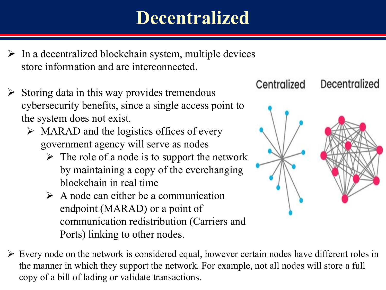#### **Decentralized**

- $\triangleright$  In a decentralized blockchain system, multiple devices store information and are interconnected.
- $\triangleright$  Storing data in this way provides tremendous cybersecurity benefits, since a single access point to the system does not exist.
	- $\triangleright$  MARAD and the logistics offices of every government agency will serve as nodes
		- $\triangleright$  The role of a node is to support the network by maintaining a copy of the everchanging blockchain in real time
		- $\triangleright$  A node can either be a communication endpoint (MARAD) or a point of communication redistribution (Carriers and Ports) linking to other nodes.



 $\triangleright$  Every node on the network is considered equal, however certain nodes have different roles in the manner in which they support the network. For example, not all nodes will store a full copy of a bill of lading or validate transactions.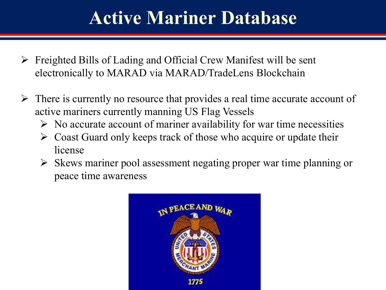#### **Active Mariner Database**

- $\triangleright$  Freighted Bills of Lading and Official Crew Manifest will be sent electronically to MARAD via MARAD/TradeLens Blockchain
- $\triangleright$  There is currently no resource that provides a real time accurate account of active mariners currently manning US Flag Vessels
	- $\triangleright$  No accurate account of mariner availability for war time necessities
	- $\triangleright$  Coast Guard only keeps track of those who acquire or update their license
	- $\triangleright$  Skews mariner pool assessment negating proper war time planning or peace time awareness

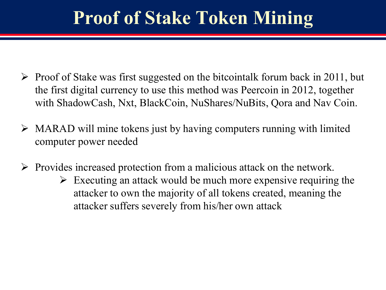#### **Proof of Stake Token Mining**

- $\triangleright$  Proof of Stake was first suggested on the bitcointalk forum back in 2011, but the first digital currency to use this method was Peercoin in 2012, together with ShadowCash, Nxt, BlackCoin, NuShares/NuBits, Qora and Nav Coin.
- $\triangleright$  MARAD will mine tokens just by having computers running with limited computer power needed
- $\triangleright$  Provides increased protection from a malicious attack on the network.
	- $\triangleright$  Executing an attack would be much more expensive requiring the attacker to own the majority of all tokens created, meaning the attacker suffers severely from his/her own attack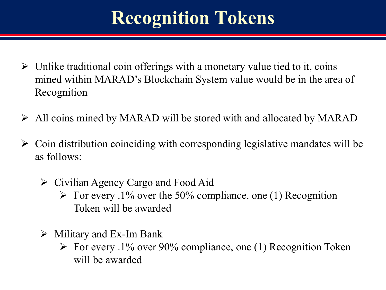## **Recognition Tokens**

- $\triangleright$  Unlike traditional coin offerings with a monetary value tied to it, coins mined within MARAD's Blockchain System value would be in the area of Recognition
- $\triangleright$  All coins mined by MARAD will be stored with and allocated by MARAD
- $\triangleright$  Coin distribution coinciding with corresponding legislative mandates will be as follows:
	- $\triangleright$  Civilian Agency Cargo and Food Aid
		- $\triangleright$  For every .1% over the 50% compliance, one (1) Recognition Token will be awarded
	- $\triangleright$  Military and Ex-Im Bank
		- $\triangleright$  For every .1% over 90% compliance, one (1) Recognition Token will be awarded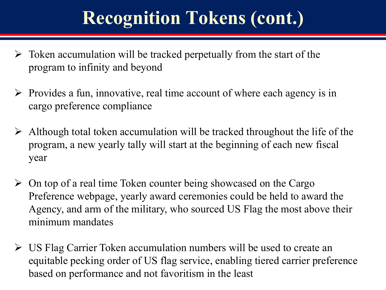## **Recognition Tokens (cont.)**

- Token accumulation will be tracked perpetually from the start of the program to infinity and beyond
- $\triangleright$  Provides a fun, innovative, real time account of where each agency is in cargo preference compliance
- $\triangleright$  Although total token accumulation will be tracked throughout the life of the program, a new yearly tally will start at the beginning of each new fiscal year
- $\triangleright$  On top of a real time Token counter being showcased on the Cargo Preference webpage, yearly award ceremonies could be held to award the Agency, and arm of the military, who sourced US Flag the most above their minimum mandates
- US Flag Carrier Token accumulation numbers will be used to create an equitable pecking order of US flag service, enabling tiered carrier preference based on performance and not favoritism in the least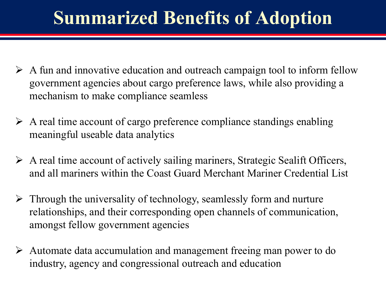#### **Summarized Benefits of Adoption**

- $\triangleright$  A fun and innovative education and outreach campaign tool to inform fellow government agencies about cargo preference laws, while also providing a mechanism to make compliance seamless
- $\triangleright$  A real time account of cargo preference compliance standings enabling meaningful useable data analytics
- $\triangleright$  A real time account of actively sailing mariners, Strategic Sealift Officers, and all mariners within the Coast Guard Merchant Mariner Credential List
- $\triangleright$  Through the universality of technology, seamlessly form and nurture relationships, and their corresponding open channels of communication, amongst fellow government agencies
- Automate data accumulation and management freeing man power to do industry, agency and congressional outreach and education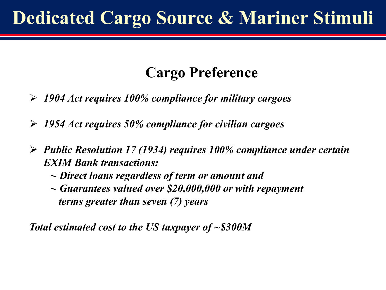## **Dedicated Cargo Source & Mariner Stimuli**

#### **Cargo Preference**

- *1904 Act requires 100% compliance for military cargoes*
- *1954 Act requires 50% compliance for civilian cargoes*
- *Public Resolution 17 (1934) requires 100% compliance under certain EXIM Bank transactions:*
	- *~ Direct loans regardless of term or amount and*
	- *~ Guarantees valued over \$20,000,000 or with repayment terms greater than seven (7) years*

*Total estimated cost to the US taxpayer of ~\$300M*